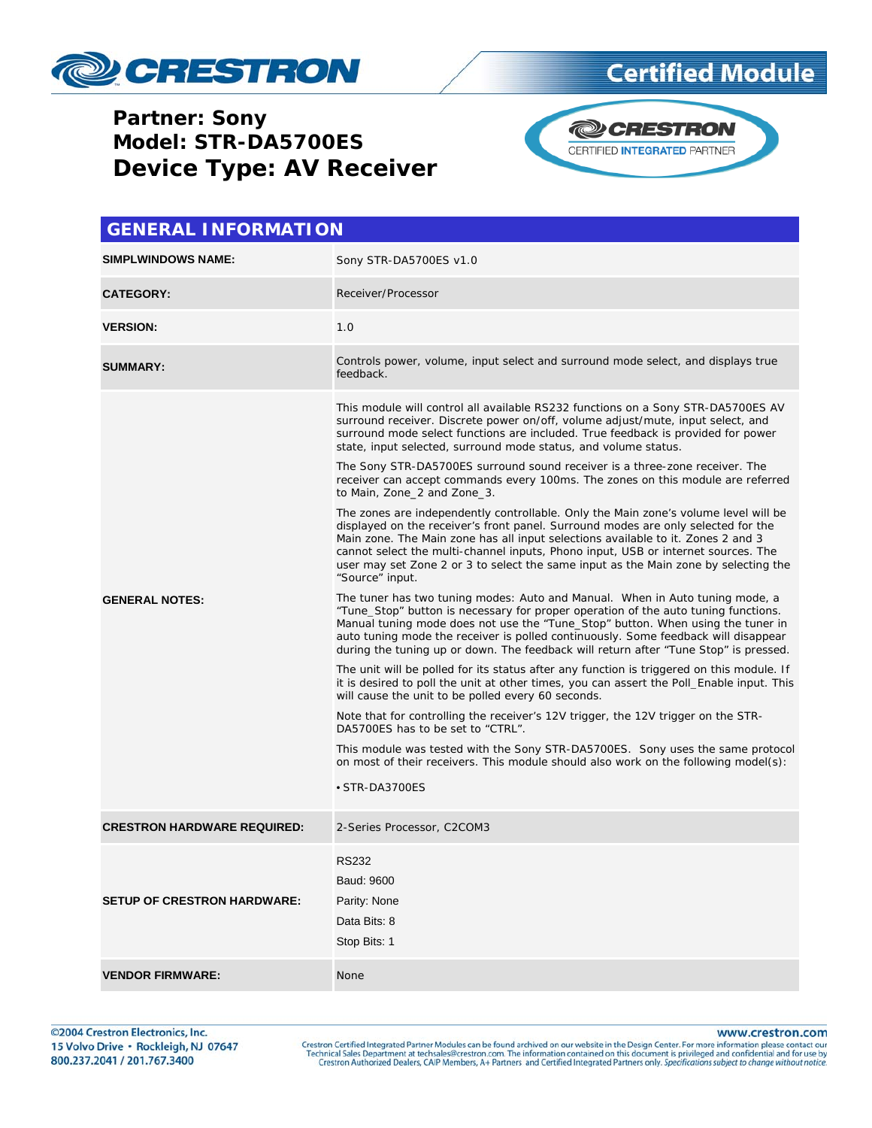

#### **Partner: Sony Model: STR-DA5700ES Device Type: AV Receiver**



| <b>GENERAL INFORMATION</b>         |                                                                                                                                                                                                                                                                                                                                                                                                                                                                                              |  |  |
|------------------------------------|----------------------------------------------------------------------------------------------------------------------------------------------------------------------------------------------------------------------------------------------------------------------------------------------------------------------------------------------------------------------------------------------------------------------------------------------------------------------------------------------|--|--|
| <b>SIMPLWINDOWS NAME:</b>          | Sony STR-DA5700ES v1.0                                                                                                                                                                                                                                                                                                                                                                                                                                                                       |  |  |
| <b>CATEGORY:</b>                   | Receiver/Processor                                                                                                                                                                                                                                                                                                                                                                                                                                                                           |  |  |
| <b>VERSION:</b>                    | 1.0                                                                                                                                                                                                                                                                                                                                                                                                                                                                                          |  |  |
| <b>SUMMARY:</b>                    | Controls power, volume, input select and surround mode select, and displays true<br>feedback.                                                                                                                                                                                                                                                                                                                                                                                                |  |  |
| <b>GENERAL NOTES:</b>              | This module will control all available RS232 functions on a Sony STR-DA5700ES AV<br>surround receiver. Discrete power on/off, volume adjust/mute, input select, and<br>surround mode select functions are included. True feedback is provided for power<br>state, input selected, surround mode status, and volume status.<br>The Sony STR-DA5700ES surround sound receiver is a three-zone receiver. The<br>receiver can accept commands every 100ms. The zones on this module are referred |  |  |
|                                    | to Main, Zone_2 and Zone_3.<br>The zones are independently controllable. Only the Main zone's volume level will be<br>displayed on the receiver's front panel. Surround modes are only selected for the<br>Main zone. The Main zone has all input selections available to it. Zones 2 and 3<br>cannot select the multi-channel inputs, Phono input, USB or internet sources. The<br>user may set Zone 2 or 3 to select the same input as the Main zone by selecting the<br>"Source" input.   |  |  |
|                                    | The tuner has two tuning modes: Auto and Manual. When in Auto tuning mode, a<br>"Tune_Stop" button is necessary for proper operation of the auto tuning functions.<br>Manual tuning mode does not use the "Tune_Stop" button. When using the tuner in<br>auto tuning mode the receiver is polled continuously. Some feedback will disappear<br>during the tuning up or down. The feedback will return after "Tune Stop" is pressed.                                                          |  |  |
|                                    | The unit will be polled for its status after any function is triggered on this module. If<br>it is desired to poll the unit at other times, you can assert the Poll_Enable input. This<br>will cause the unit to be polled every 60 seconds.                                                                                                                                                                                                                                                 |  |  |
|                                    | Note that for controlling the receiver's 12V trigger, the 12V trigger on the STR-<br>DA5700ES has to be set to "CTRL".                                                                                                                                                                                                                                                                                                                                                                       |  |  |
|                                    | This module was tested with the Sony STR-DA5700ES. Sony uses the same protocol<br>on most of their receivers. This module should also work on the following model(s):                                                                                                                                                                                                                                                                                                                        |  |  |
|                                    | • STR-DA3700ES                                                                                                                                                                                                                                                                                                                                                                                                                                                                               |  |  |
| <b>CRESTRON HARDWARE REQUIRED:</b> | 2-Series Processor, C2COM3                                                                                                                                                                                                                                                                                                                                                                                                                                                                   |  |  |
| <b>SETUP OF CRESTRON HARDWARE:</b> | RS232<br>Baud: 9600<br>Parity: None                                                                                                                                                                                                                                                                                                                                                                                                                                                          |  |  |
|                                    | Data Bits: 8<br>Stop Bits: 1                                                                                                                                                                                                                                                                                                                                                                                                                                                                 |  |  |
| <b>VENDOR FIRMWARE:</b>            | None                                                                                                                                                                                                                                                                                                                                                                                                                                                                                         |  |  |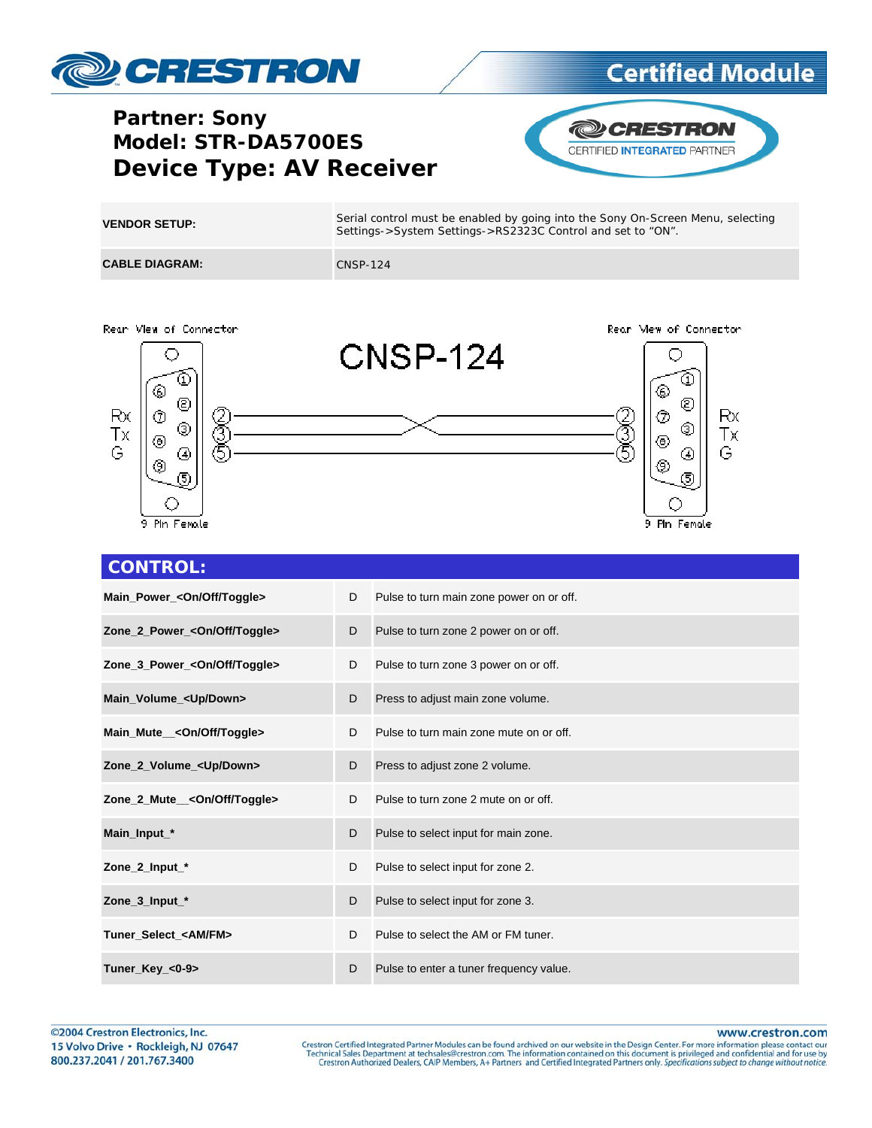

### **Partner: Sony** Model: STR-DA5700ES **Device Type: AV Receiver**



| <b>VENDOR SETUP:</b>  | Serial control must be enabled by going into the Sony On-Screen Menu, selecting<br>Settings->System Settings->RS2323C Control and set to "ON". |
|-----------------------|------------------------------------------------------------------------------------------------------------------------------------------------|
| <b>CABLE DIAGRAM:</b> | CNSP-124                                                                                                                                       |





| D | Pulse to turn main zone power on or off. |
|---|------------------------------------------|
| D | Pulse to turn zone 2 power on or off.    |
| D | Pulse to turn zone 3 power on or off.    |
| D | Press to adjust main zone volume.        |
| D | Pulse to turn main zone mute on or off.  |
| D | Press to adjust zone 2 volume.           |
| D | Pulse to turn zone 2 mute on or off.     |
| D | Pulse to select input for main zone.     |
| D | Pulse to select input for zone 2.        |
| D | Pulse to select input for zone 3.        |
| D | Pulse to select the AM or FM tuner.      |
| D | Pulse to enter a tuner frequency value.  |
|   |                                          |

www.crestron.com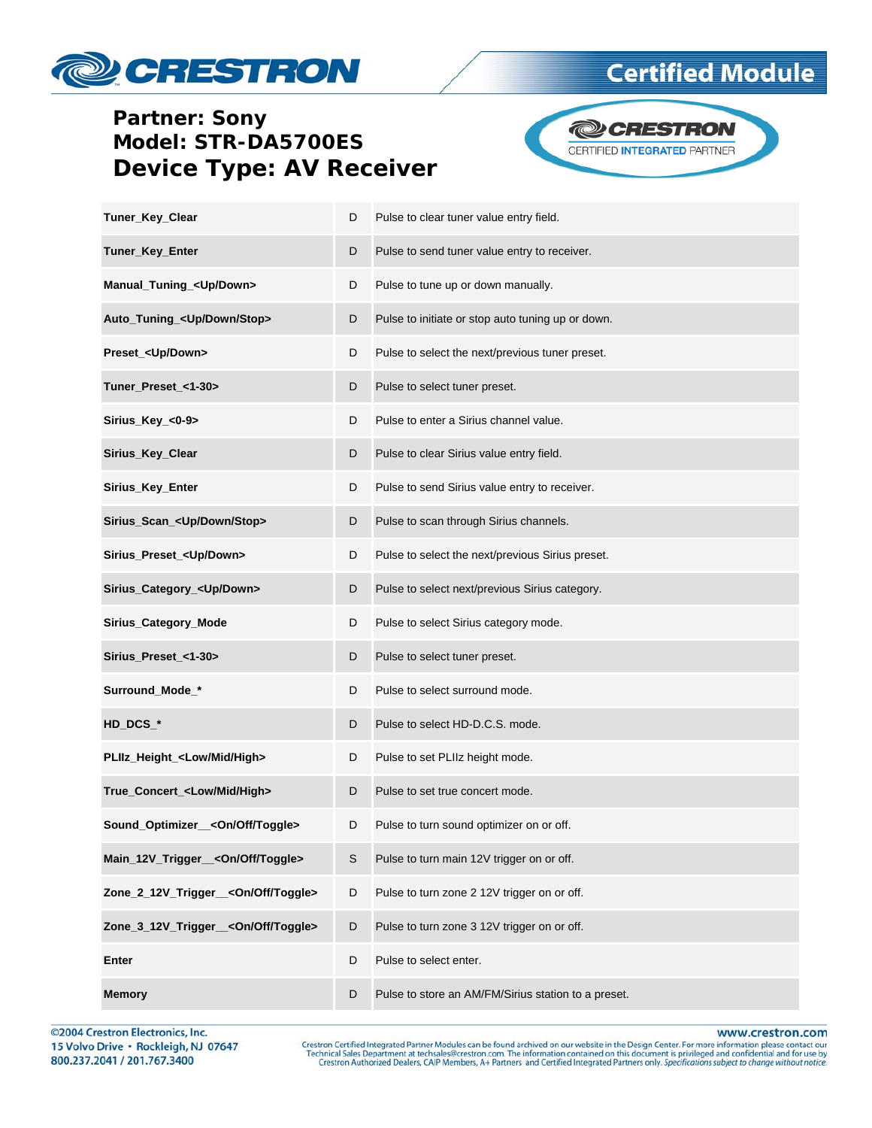## CRESTRON

#### **Partner: Sony** Model: STR-DA5700ES **Device Type: AV Receiver**



| Tuner_Key_Clear                                 | D | Pulse to clear tuner value entry field.             |
|-------------------------------------------------|---|-----------------------------------------------------|
| Tuner_Key_Enter                                 | D | Pulse to send tuner value entry to receiver.        |
| Manual_Tuning_ <up down=""></up>                | D | Pulse to tune up or down manually.                  |
| Auto_Tuning_ <up down="" stop=""></up>          | D | Pulse to initiate or stop auto tuning up or down.   |
| Preset_ <up down=""></up>                       | D | Pulse to select the next/previous tuner preset.     |
| Tuner_Preset_<1-30>                             | D | Pulse to select tuner preset.                       |
| Sirius_Key_<0-9>                                | D | Pulse to enter a Sirius channel value.              |
| Sirius_Key_Clear                                | D | Pulse to clear Sirius value entry field.            |
| Sirius_Key_Enter                                | D | Pulse to send Sirius value entry to receiver.       |
| Sirius_Scan_ <up down="" stop=""></up>          | D | Pulse to scan through Sirius channels.              |
| Sirius_Preset_ <up down=""></up>                | D | Pulse to select the next/previous Sirius preset.    |
| Sirius_Category_ <up down=""></up>              | D | Pulse to select next/previous Sirius category.      |
| Sirius_Category_Mode                            | D | Pulse to select Sirius category mode.               |
| Sirius_Preset_<1-30>                            | D | Pulse to select tuner preset.                       |
| Surround_Mode_*                                 | D | Pulse to select surround mode.                      |
| HD_DCS_*                                        | D | Pulse to select HD-D.C.S. mode.                     |
| PLIIz_Height_ <low high="" mid=""></low>        | D | Pulse to set PLIIz height mode.                     |
| True_Concert_ <low high="" mid=""></low>        | D | Pulse to set true concert mode.                     |
| Sound_Optimizer_<0n/Off/Toggle>                 | D | Pulse to turn sound optimizer on or off.            |
| Main_12V_Trigger__ <on off="" toggle=""></on>   | S | Pulse to turn main 12V trigger on or off.           |
| Zone_2_12V_Trigger__ <on off="" toggle=""></on> | D | Pulse to turn zone 2 12V trigger on or off.         |
| Zone_3_12V_Trigger__ <on off="" toggle=""></on> | D | Pulse to turn zone 3 12V trigger on or off.         |
| Enter                                           | D | Pulse to select enter.                              |
| <b>Memory</b>                                   | D | Pulse to store an AM/FM/Sirius station to a preset. |

©2004 Crestron Electronics, Inc. 15 Volvo Drive · Rockleigh, NJ 07647 800.237.2041 / 201.767.3400

www.crestron.com Crestron Certified Integrated Partner Modules can be found archived on our website in the Design Center. For more information please contact our Technical Sales Department at techsales@crestron.com. The information contain

### **Certified Module**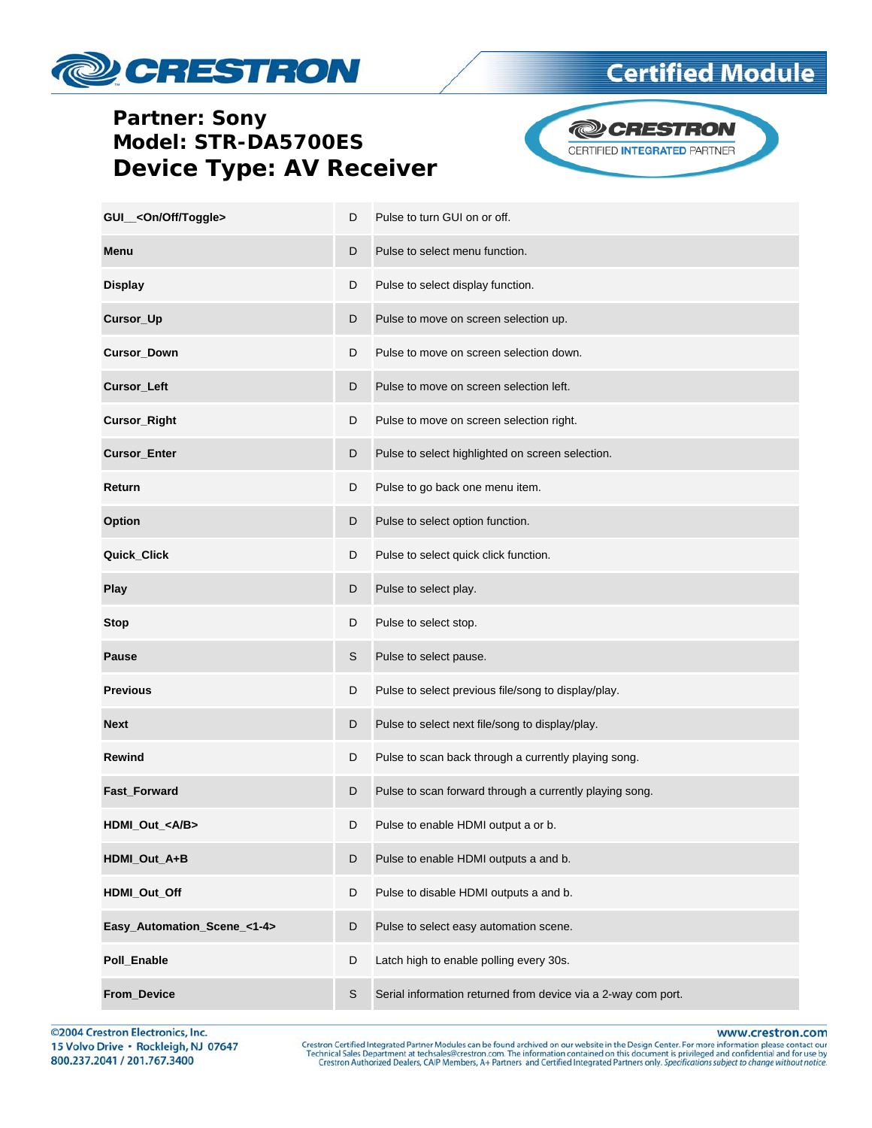# **PESTRON**

#### **Partner: Sony** Model: STR-DA5700ES **Device Type: AV Receiver**



**Certified Module** 

| GUI_ <on off="" toggle=""></on> | D | Pulse to turn GUI on or off.                                  |
|---------------------------------|---|---------------------------------------------------------------|
| Menu                            | D | Pulse to select menu function.                                |
| <b>Display</b>                  | D | Pulse to select display function.                             |
| Cursor_Up                       | D | Pulse to move on screen selection up.                         |
| Cursor_Down                     | D | Pulse to move on screen selection down.                       |
| <b>Cursor_Left</b>              | D | Pulse to move on screen selection left.                       |
| Cursor_Right                    | D | Pulse to move on screen selection right.                      |
| <b>Cursor_Enter</b>             | D | Pulse to select highlighted on screen selection.              |
| Return                          | D | Pulse to go back one menu item.                               |
| Option                          | D | Pulse to select option function.                              |
| Quick_Click                     | D | Pulse to select quick click function.                         |
| Play                            | D | Pulse to select play.                                         |
| Stop                            | D | Pulse to select stop.                                         |
| <b>Pause</b>                    | S | Pulse to select pause.                                        |
| <b>Previous</b>                 | D | Pulse to select previous file/song to display/play.           |
| <b>Next</b>                     | D | Pulse to select next file/song to display/play.               |
| Rewind                          | D | Pulse to scan back through a currently playing song.          |
| Fast_Forward                    | D | Pulse to scan forward through a currently playing song.       |
| HDMI_Out_ <a b=""></a>          | D | Pulse to enable HDMI output a or b.                           |
| HDMI_Out_A+B                    | D | Pulse to enable HDMI outputs a and b.                         |
| HDMI_Out_Off                    | D | Pulse to disable HDMI outputs a and b.                        |
| Easy_Automation_Scene_<1-4>     | D | Pulse to select easy automation scene.                        |
| Poll_Enable                     | D | Latch high to enable polling every 30s.                       |
| From_Device                     | S | Serial information returned from device via a 2-way com port. |

©2004 Crestron Electronics, Inc. 15 Volvo Drive · Rockleigh, NJ 07647 800.237.2041 / 201.767.3400

www.crestron.com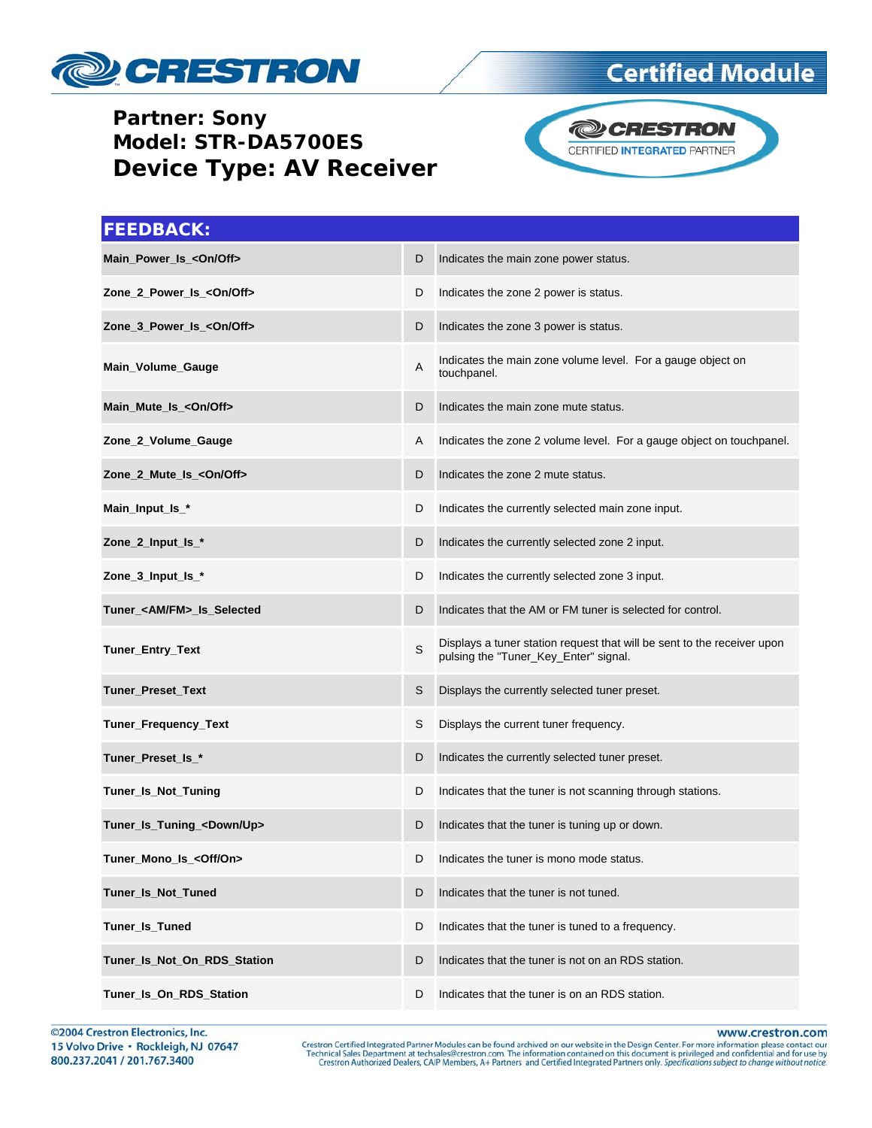

#### **Partner: Sony** Model: STR-DA5700ES **Device Type: AV Receiver**



| <b>FEEDBACK:</b>                     |   |                                                                                                                  |
|--------------------------------------|---|------------------------------------------------------------------------------------------------------------------|
| Main_Power_Is_ <on off=""></on>      | D | Indicates the main zone power status.                                                                            |
| Zone_2_Power_Is_ <on off=""></on>    | D | Indicates the zone 2 power is status.                                                                            |
| Zone_3_Power_Is_ <on off=""></on>    | D | Indicates the zone 3 power is status.                                                                            |
| Main_Volume_Gauge                    | Α | Indicates the main zone volume level. For a gauge object on<br>touchpanel.                                       |
| Main_Mute_Is_ <on off=""></on>       | D | Indicates the main zone mute status.                                                                             |
| Zone_2_Volume_Gauge                  | A | Indicates the zone 2 volume level. For a gauge object on touchpanel.                                             |
| Zone 2 Mute Is <0n/Off>              | D | Indicates the zone 2 mute status.                                                                                |
| Main_Input_Is_*                      | D | Indicates the currently selected main zone input.                                                                |
| Zone_2_Input_Is_*                    | D | Indicates the currently selected zone 2 input.                                                                   |
| Zone_3_Input_Is_*                    | D | Indicates the currently selected zone 3 input.                                                                   |
| Tuner_ <am fm="">_Is_Selected</am>   | D | Indicates that the AM or FM tuner is selected for control.                                                       |
| Tuner_Entry_Text                     | S | Displays a tuner station request that will be sent to the receiver upon<br>pulsing the "Tuner_Key_Enter" signal. |
| Tuner_Preset_Text                    | S | Displays the currently selected tuner preset.                                                                    |
| Tuner_Frequency_Text                 | S | Displays the current tuner frequency.                                                                            |
| Tuner_Preset_Is_*                    | D | Indicates the currently selected tuner preset.                                                                   |
| Tuner_Is_Not_Tuning                  | D | Indicates that the tuner is not scanning through stations.                                                       |
| Tuner_Is_Tuning_ <down up=""></down> | D | Indicates that the tuner is tuning up or down.                                                                   |
| Tuner_Mono_Is_ <off on=""></off>     |   | Indicates the tuner is mono mode status.                                                                         |
| Tuner_Is_Not_Tuned                   | D | Indicates that the tuner is not tuned.                                                                           |
| <b>Tuner Is Tuned</b>                | D | Indicates that the tuner is tuned to a frequency.                                                                |
| Tuner Is Not On RDS Station          | D | Indicates that the tuner is not on an RDS station.                                                               |
| Tuner_Is_On_RDS_Station              | D | Indicates that the tuner is on an RDS station.                                                                   |

©2004 Crestron Electronics, Inc. 15 Volvo Drive · Rockleigh, NJ 07647 800.237.2041 / 201.767.3400

www.crestron.com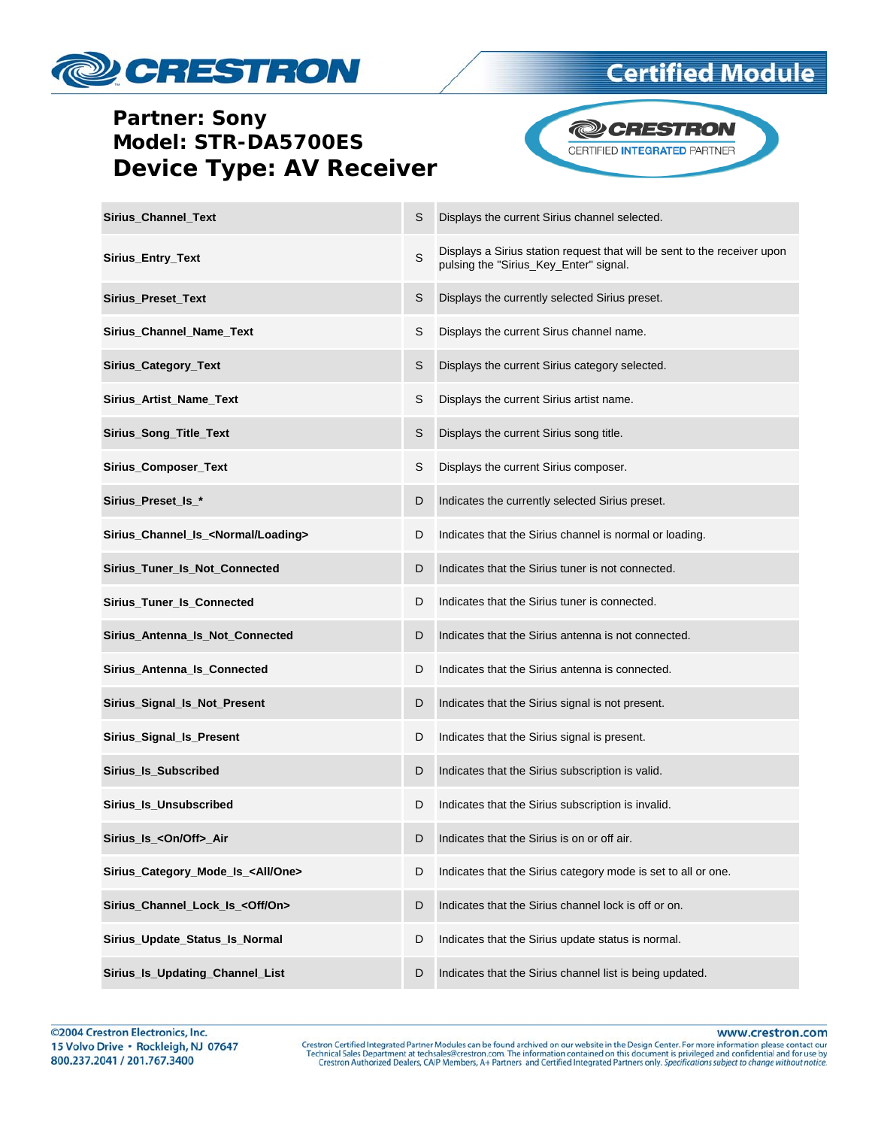

#### **Partner: Sony** Model: STR-DA5700ES **Device Type: AV Receiver**



| <b>Sirius Channel Text</b>                      | S | Displays the current Sirius channel selected.                                                                      |
|-------------------------------------------------|---|--------------------------------------------------------------------------------------------------------------------|
| Sirius_Entry_Text                               | S | Displays a Sirius station request that will be sent to the receiver upon<br>pulsing the "Sirius_Key_Enter" signal. |
| Sirius_Preset_Text                              | S | Displays the currently selected Sirius preset.                                                                     |
| Sirius_Channel_Name_Text                        | S | Displays the current Sirus channel name.                                                                           |
| Sirius_Category_Text                            | S | Displays the current Sirius category selected.                                                                     |
| Sirius_Artist_Name_Text                         | S | Displays the current Sirius artist name.                                                                           |
| Sirius_Song_Title_Text                          | S | Displays the current Sirius song title.                                                                            |
| Sirius_Composer_Text                            | S | Displays the current Sirius composer.                                                                              |
| Sirius_Preset_Is_*                              | D | Indicates the currently selected Sirius preset.                                                                    |
| Sirius_Channel_Is_ <normal loading=""></normal> | D | Indicates that the Sirius channel is normal or loading.                                                            |
| Sirius_Tuner_Is_Not_Connected                   | D | Indicates that the Sirius tuner is not connected.                                                                  |
| Sirius_Tuner_Is_Connected                       | D | Indicates that the Sirius tuner is connected.                                                                      |
| Sirius_Antenna_Is_Not_Connected                 | D | Indicates that the Sirius antenna is not connected.                                                                |
| Sirius_Antenna_Is_Connected                     | D | Indicates that the Sirius antenna is connected.                                                                    |
| Sirius_Signal_Is_Not_Present                    | D | Indicates that the Sirius signal is not present.                                                                   |
| Sirius_Signal_Is_Present                        | D | Indicates that the Sirius signal is present.                                                                       |
| Sirius_Is_Subscribed                            | D | Indicates that the Sirius subscription is valid.                                                                   |
| Sirius_Is_Unsubscribed                          | D | Indicates that the Sirius subscription is invalid.                                                                 |
| Sirius_Is_ <on off="">_Air</on>                 | D | Indicates that the Sirius is on or off air.                                                                        |
| Sirius_Category_Mode_Is_ <all one=""></all>     | D | Indicates that the Sirius category mode is set to all or one.                                                      |
| Sirius_Channel_Lock_ls_ <off on=""></off>       | D | Indicates that the Sirius channel lock is off or on.                                                               |
| Sirius_Update_Status_Is_Normal                  | D | Indicates that the Sirius update status is normal.                                                                 |
| Sirius_Is_Updating_Channel_List                 | D | Indicates that the Sirius channel list is being updated.                                                           |

www.crestron.com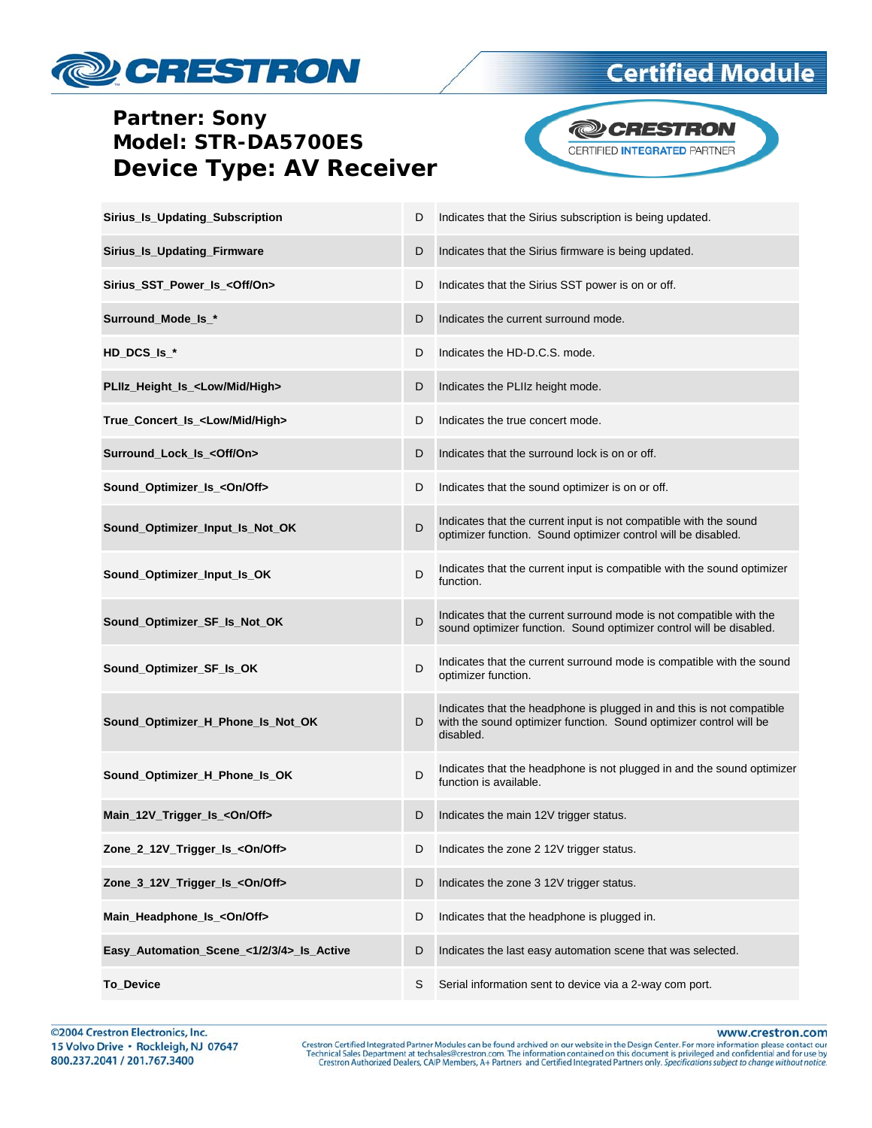

### **Partner: Sony** Model: STR-DA5700ES **Device Type: AV Receiver**



| Sirius_Is_Updating_Subscription             | D | Indicates that the Sirius subscription is being updated.                                                                                                 |
|---------------------------------------------|---|----------------------------------------------------------------------------------------------------------------------------------------------------------|
| Sirius_Is_Updating_Firmware                 | D | Indicates that the Sirius firmware is being updated.                                                                                                     |
| Sirius_SST_Power_Is_ <off on=""></off>      | D | Indicates that the Sirius SST power is on or off.                                                                                                        |
| Surround_Mode_Is_*                          | D | Indicates the current surround mode.                                                                                                                     |
| $HD\_DCS_ls_*$                              | D | Indicates the HD-D.C.S. mode.                                                                                                                            |
| PLIIz Height Is <low high="" mid=""></low>  | D | Indicates the PLIIz height mode.                                                                                                                         |
| True_Concert_Is_ <low high="" mid=""></low> | D | Indicates the true concert mode.                                                                                                                         |
| Surround_Lock_Is_ <off on=""></off>         | D | Indicates that the surround lock is on or off.                                                                                                           |
| Sound_Optimizer_Is_ <on off=""></on>        | D | Indicates that the sound optimizer is on or off.                                                                                                         |
| Sound_Optimizer_Input_Is_Not_OK             | D | Indicates that the current input is not compatible with the sound<br>optimizer function. Sound optimizer control will be disabled.                       |
| Sound_Optimizer_Input_Is_OK                 | D | Indicates that the current input is compatible with the sound optimizer<br>function.                                                                     |
| Sound Optimizer SF Is Not OK                | D | Indicates that the current surround mode is not compatible with the<br>sound optimizer function. Sound optimizer control will be disabled.               |
| Sound_Optimizer_SF_Is_OK                    | D | Indicates that the current surround mode is compatible with the sound<br>optimizer function.                                                             |
| Sound_Optimizer_H_Phone_Is_Not_OK           | D | Indicates that the headphone is plugged in and this is not compatible<br>with the sound optimizer function. Sound optimizer control will be<br>disabled. |
| Sound_Optimizer_H_Phone_Is_OK               | D | Indicates that the headphone is not plugged in and the sound optimizer<br>function is available.                                                         |
| Main_12V_Trigger_Is_ <on off=""></on>       | D | Indicates the main 12V trigger status.                                                                                                                   |
| Zone_2_12V_Trigger_Is_ <on off=""></on>     |   | D Indicates the zone 2 12V trigger status.                                                                                                               |
| Zone_3_12V_Trigger_Is_ <on off=""></on>     | D | Indicates the zone 3 12V trigger status.                                                                                                                 |
| Main_Headphone_Is_ <on off=""></on>         | D | Indicates that the headphone is plugged in.                                                                                                              |
| Easy_Automation_Scene_<1/2/3/4>_Is_Active   | D | Indicates the last easy automation scene that was selected.                                                                                              |
| To_Device                                   | S | Serial information sent to device via a 2-way com port.                                                                                                  |

www.crestron.com